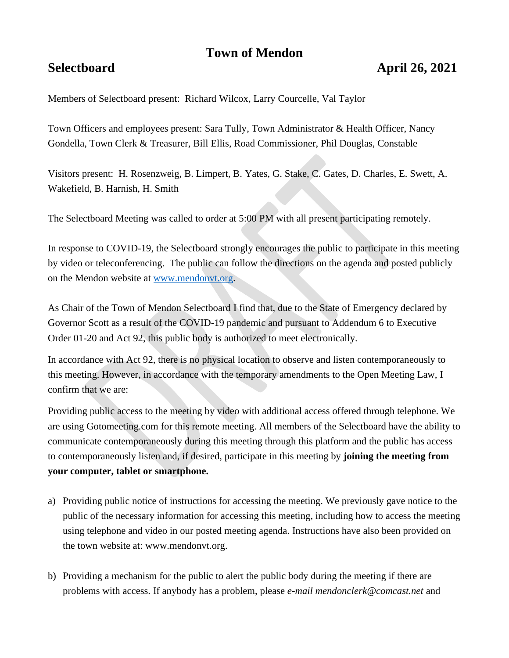# **Town of Mendon**

## **Selectboard April 26, 2021**

Members of Selectboard present: Richard Wilcox, Larry Courcelle, Val Taylor

Town Officers and employees present: Sara Tully, Town Administrator & Health Officer, Nancy Gondella, Town Clerk & Treasurer, Bill Ellis, Road Commissioner, Phil Douglas, Constable

Visitors present: H. Rosenzweig, B. Limpert, B. Yates, G. Stake, C. Gates, D. Charles, E. Swett, A. Wakefield, B. Harnish, H. Smith

The Selectboard Meeting was called to order at 5:00 PM with all present participating remotely.

In response to COVID-19, the Selectboard strongly encourages the public to participate in this meeting by video or teleconferencing. The public can follow the directions on the agenda and posted publicly on the Mendon website at [www.mendonvt.org.](http://www.mendonvt.org/)

As Chair of the Town of Mendon Selectboard I find that, due to the State of Emergency declared by Governor Scott as a result of the COVID-19 pandemic and pursuant to Addendum 6 to Executive Order 01-20 and Act 92, this public body is authorized to meet electronically.

In accordance with Act 92, there is no physical location to observe and listen contemporaneously to this meeting. However, in accordance with the temporary amendments to the Open Meeting Law, I confirm that we are:

Providing public access to the meeting by video with additional access offered through telephone. We are using Gotomeeting.com for this remote meeting. All members of the Selectboard have the ability to communicate contemporaneously during this meeting through this platform and the public has access to contemporaneously listen and, if desired, participate in this meeting by **joining the meeting from your computer, tablet or smartphone.** 

- a) Providing public notice of instructions for accessing the meeting. We previously gave notice to the public of the necessary information for accessing this meeting, including how to access the meeting using telephone and video in our posted meeting agenda. Instructions have also been provided on the town website at: www.mendonvt.org.
- b) Providing a mechanism for the public to alert the public body during the meeting if there are problems with access. If anybody has a problem, please *e-mail mendonclerk@comcast.net* and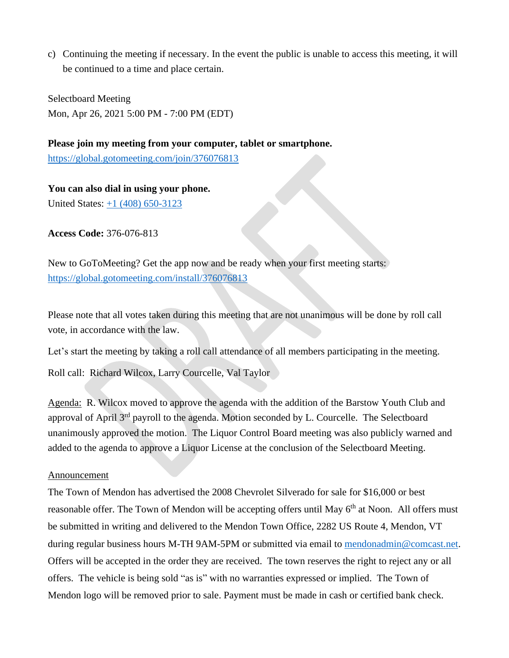c) Continuing the meeting if necessary. In the event the public is unable to access this meeting, it will be continued to a time and place certain.

Selectboard Meeting Mon, Apr 26, 2021 5:00 PM - 7:00 PM (EDT)

**Please join my meeting from your computer, tablet or smartphone.**  <https://global.gotomeeting.com/join/376076813>

**You can also dial in using your phone.** United States: [+1 \(408\) 650-3123](tel:+14086503123,,376076813)

**Access Code:** 376-076-813

New to GoToMeeting? Get the app now and be ready when your first meeting starts: <https://global.gotomeeting.com/install/376076813>

Please note that all votes taken during this meeting that are not unanimous will be done by roll call vote, in accordance with the law.

Let's start the meeting by taking a roll call attendance of all members participating in the meeting.

Roll call: Richard Wilcox, Larry Courcelle, Val Taylor

Agenda: R. Wilcox moved to approve the agenda with the addition of the Barstow Youth Club and approval of April  $3<sup>rd</sup>$  payroll to the agenda. Motion seconded by L. Courcelle. The Selectboard unanimously approved the motion. The Liquor Control Board meeting was also publicly warned and added to the agenda to approve a Liquor License at the conclusion of the Selectboard Meeting.

### Announcement

The Town of Mendon has advertised the 2008 Chevrolet Silverado for sale for \$16,000 or best reasonable offer. The Town of Mendon will be accepting offers until May 6<sup>th</sup> at Noon. All offers must be submitted in writing and delivered to the Mendon Town Office, 2282 US Route 4, Mendon, VT during regular business hours M-TH 9AM-5PM or submitted via email to [mendonadmin@comcast.net.](mailto:mendonadmin@comcast.net) Offers will be accepted in the order they are received. The town reserves the right to reject any or all offers. The vehicle is being sold "as is" with no warranties expressed or implied. The Town of Mendon logo will be removed prior to sale. Payment must be made in cash or certified bank check.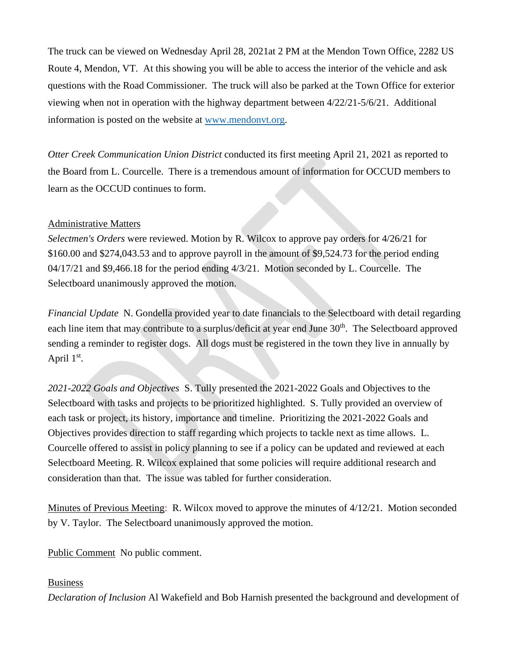The truck can be viewed on Wednesday April 28, 2021at 2 PM at the Mendon Town Office, 2282 US Route 4, Mendon, VT. At this showing you will be able to access the interior of the vehicle and ask questions with the Road Commissioner. The truck will also be parked at the Town Office for exterior viewing when not in operation with the highway department between 4/22/21-5/6/21. Additional information is posted on the website at [www.mendonvt.org.](http://www.mendonvt.org/)

*Otter Creek Communication Union District* conducted its first meeting April 21, 2021 as reported to the Board from L. Courcelle. There is a tremendous amount of information for OCCUD members to learn as the OCCUD continues to form.

### Administrative Matters

*Selectmen's Orders* were reviewed. Motion by R. Wilcox to approve pay orders for 4/26/21 for \$160.00 and \$274,043.53 and to approve payroll in the amount of \$9,524.73 for the period ending 04/17/21 and \$9,466.18 for the period ending 4/3/21. Motion seconded by L. Courcelle. The Selectboard unanimously approved the motion.

*Financial Update* N. Gondella provided year to date financials to the Selectboard with detail regarding each line item that may contribute to a surplus/deficit at year end June 30<sup>th</sup>. The Selectboard approved sending a reminder to register dogs. All dogs must be registered in the town they live in annually by April  $1<sup>st</sup>$ .

*2021-2022 Goals and Objectives* S. Tully presented the 2021-2022 Goals and Objectives to the Selectboard with tasks and projects to be prioritized highlighted. S. Tully provided an overview of each task or project, its history, importance and timeline. Prioritizing the 2021-2022 Goals and Objectives provides direction to staff regarding which projects to tackle next as time allows. L. Courcelle offered to assist in policy planning to see if a policy can be updated and reviewed at each Selectboard Meeting. R. Wilcox explained that some policies will require additional research and consideration than that. The issue was tabled for further consideration.

Minutes of Previous Meeting: R. Wilcox moved to approve the minutes of 4/12/21. Motion seconded by V. Taylor. The Selectboard unanimously approved the motion.

Public Comment No public comment.

### Business

*Declaration of Inclusion* Al Wakefield and Bob Harnish presented the background and development of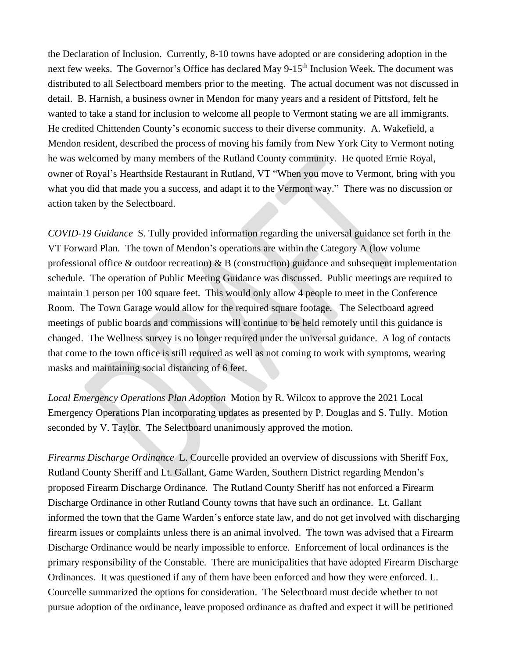the Declaration of Inclusion. Currently, 8-10 towns have adopted or are considering adoption in the next few weeks. The Governor's Office has declared May 9-15<sup>th</sup> Inclusion Week. The document was distributed to all Selectboard members prior to the meeting. The actual document was not discussed in detail. B. Harnish, a business owner in Mendon for many years and a resident of Pittsford, felt he wanted to take a stand for inclusion to welcome all people to Vermont stating we are all immigrants. He credited Chittenden County's economic success to their diverse community. A. Wakefield, a Mendon resident, described the process of moving his family from New York City to Vermont noting he was welcomed by many members of the Rutland County community. He quoted Ernie Royal, owner of Royal's Hearthside Restaurant in Rutland, VT "When you move to Vermont, bring with you what you did that made you a success, and adapt it to the Vermont way." There was no discussion or action taken by the Selectboard.

*COVID-19 Guidance* S. Tully provided information regarding the universal guidance set forth in the VT Forward Plan. The town of Mendon's operations are within the Category A (low volume professional office  $\&$  outdoor recreation)  $\&$  B (construction) guidance and subsequent implementation schedule. The operation of Public Meeting Guidance was discussed. Public meetings are required to maintain 1 person per 100 square feet. This would only allow 4 people to meet in the Conference Room. The Town Garage would allow for the required square footage. The Selectboard agreed meetings of public boards and commissions will continue to be held remotely until this guidance is changed. The Wellness survey is no longer required under the universal guidance. A log of contacts that come to the town office is still required as well as not coming to work with symptoms, wearing masks and maintaining social distancing of 6 feet.

*Local Emergency Operations Plan Adoption* Motion by R. Wilcox to approve the 2021 Local Emergency Operations Plan incorporating updates as presented by P. Douglas and S. Tully. Motion seconded by V. Taylor. The Selectboard unanimously approved the motion.

*Firearms Discharge Ordinance* L. Courcelle provided an overview of discussions with Sheriff Fox, Rutland County Sheriff and Lt. Gallant, Game Warden, Southern District regarding Mendon's proposed Firearm Discharge Ordinance. The Rutland County Sheriff has not enforced a Firearm Discharge Ordinance in other Rutland County towns that have such an ordinance. Lt. Gallant informed the town that the Game Warden's enforce state law, and do not get involved with discharging firearm issues or complaints unless there is an animal involved. The town was advised that a Firearm Discharge Ordinance would be nearly impossible to enforce. Enforcement of local ordinances is the primary responsibility of the Constable. There are municipalities that have adopted Firearm Discharge Ordinances. It was questioned if any of them have been enforced and how they were enforced. L. Courcelle summarized the options for consideration. The Selectboard must decide whether to not pursue adoption of the ordinance, leave proposed ordinance as drafted and expect it will be petitioned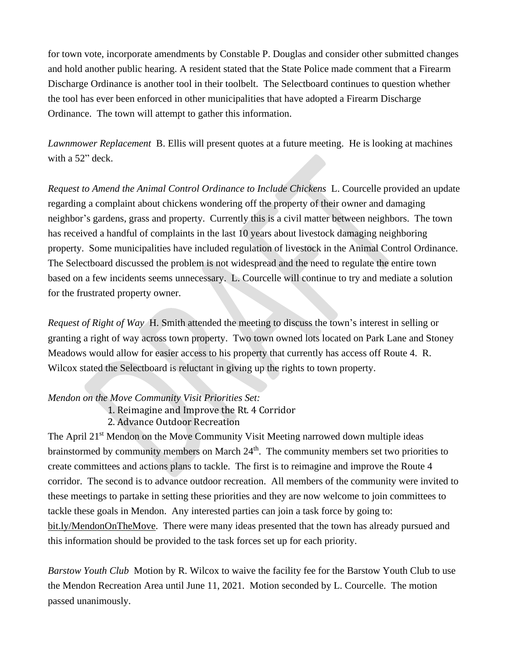for town vote, incorporate amendments by Constable P. Douglas and consider other submitted changes and hold another public hearing. A resident stated that the State Police made comment that a Firearm Discharge Ordinance is another tool in their toolbelt. The Selectboard continues to question whether the tool has ever been enforced in other municipalities that have adopted a Firearm Discharge Ordinance. The town will attempt to gather this information.

*Lawnmower Replacement* B. Ellis will present quotes at a future meeting. He is looking at machines with a 52" deck.

*Request to Amend the Animal Control Ordinance to Include Chickens* L. Courcelle provided an update regarding a complaint about chickens wondering off the property of their owner and damaging neighbor's gardens, grass and property. Currently this is a civil matter between neighbors. The town has received a handful of complaints in the last 10 years about livestock damaging neighboring property. Some municipalities have included regulation of livestock in the Animal Control Ordinance. The Selectboard discussed the problem is not widespread and the need to regulate the entire town based on a few incidents seems unnecessary. L. Courcelle will continue to try and mediate a solution for the frustrated property owner.

*Request of Right of Way* H. Smith attended the meeting to discuss the town's interest in selling or granting a right of way across town property. Two town owned lots located on Park Lane and Stoney Meadows would allow for easier access to his property that currently has access off Route 4. R. Wilcox stated the Selectboard is reluctant in giving up the rights to town property.

### *Mendon on the Move Community Visit Priorities Set:*

1. Reimagine and Improve the Rt. 4 Corridor

2. Advance Outdoor Recreation

The April 21<sup>st</sup> Mendon on the Move Community Visit Meeting narrowed down multiple ideas brainstormed by community members on March 24<sup>th</sup>. The community members set two priorities to create committees and actions plans to tackle. The first is to reimagine and improve the Route 4 corridor. The second is to advance outdoor recreation. All members of the community were invited to these meetings to partake in setting these priorities and they are now welcome to join committees to tackle these goals in Mendon. Any interested parties can join a task force by going to: bit.ly/MendonOnTheMove. There were many ideas presented that the town has already pursued and this information should be provided to the task forces set up for each priority.

*Barstow Youth Club* Motion by R. Wilcox to waive the facility fee for the Barstow Youth Club to use the Mendon Recreation Area until June 11, 2021. Motion seconded by L. Courcelle. The motion passed unanimously.